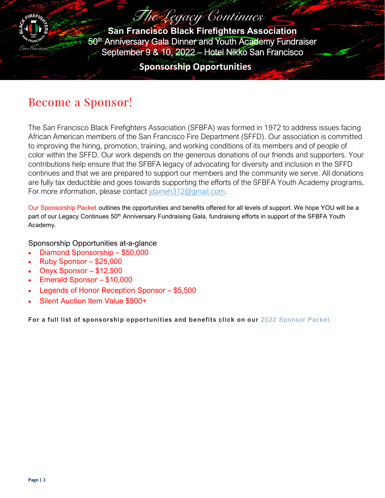

The Legacy Continues **San Francisco Black Firefighters Association** 50<sup>th</sup> Anniversary Gala Dinner and Youth Academy Fundraiser September 9 & 10, 2022 – Hotel Nikko San Francisco

**Sponsorship Opportunities**

## Become a Sponsor!

The San Francisco Black Firefighters Association (SFBFA) was formed in 1972 to address issues facing African American members of the San Francisco Fire Department (SFFD). Our association is committed to improving the hiring, promotion, training, and working conditions of its members and of people of color within the SFFD. Our work depends on the generous donations of our friends and supporters. Your contributions help ensure that the SFBFA legacy of advocating for diversity and inclusion in the SFFD continues and that we are prepared to support our members and the community we serve. All donations are fully tax deductible and goes towards supporting the efforts of the SFBFA Youth Academy programs. For more information, please contact [jdaineh312@gmail.com.](mailto:jdaineh312@gmail.com)

[Our Sponsorship](https://friscofamilyservices.org/file_download/25b15ffe-aa77-4618-91a4-45eedc905808) Packet outlines the opportunities and benefits offered for all levels of support. We hope YOU will be a part of our Legacy Continues 50<sup>th</sup> Anniversary Fundraising Gala, fundraising efforts in support of the SFBFA Youth Academy.

Sponsorship Opportunities at-a-glance

- Diamond Sponsorship \$50,000
- Ruby Sponsor \$25,000
- Onyx Sponsor  $-$  \$12,500
- Emerald Sponsor \$10,000
- Legends of Honor Reception Sponsor \$5,500
- Silent Auction Item Value \$500+

**For a full list of sponsorship opportunities and benefits click on our** [2022 Sponsor Packet.](https://friscofamilyservices.org/file_download/25b15ffe-aa77-4618-91a4-45eedc905808)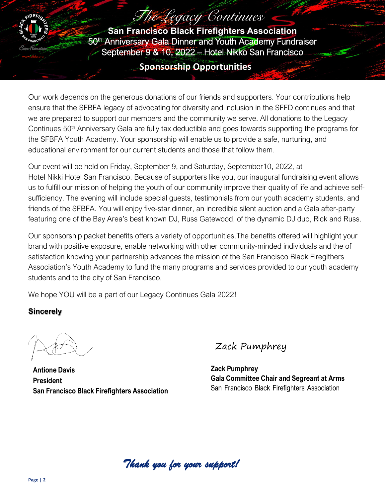# The Legacy Continues

**San Francisco Black Firefighters Association** 50th Anniversary Gala Dinner and Youth Academy Fundraiser September 9 & 10, 2022 – Hotel Nikko San Francisco

## **Sponsorship Opportunities**

Our work depends on the generous donations of our friends and supporters. Your contributions help ensure that the SFBFA legacy of advocating for diversity and inclusion in the SFFD continues and that we are prepared to support our members and the community we serve. All donations to the Legacy Continues 50<sup>th</sup> Anniversary Gala are fully tax deductible and goes towards supporting the programs for the SFBFA Youth Academy. Your sponsorship will enable us to provide a safe, nurturing, and educational environment for our current students and those that follow them.

Our event will be held on Friday, September 9, and Saturday, September10, 2022, at Hotel Nikki Hotel San Francisco. Because of supporters like you, our inaugural fundraising event allows us to fulfill our mission of helping the youth of our community improve their quality of life and achieve selfsufficiency. The evening will include special guests, testimonials from our youth academy students, and friends of the SFBFA. You will enjoy five-star dinner, an incredible silent auction and a Gala after-party featuring one of the Bay Area's best known DJ, Russ Gatewood, of the dynamic DJ duo, Rick and Russ.

Our sponsorship packet benefits offers a variety of opportunities.The benefits offered will highlight your brand with positive exposure, enable networking with other community-minded individuals and the of satisfaction knowing your partnership advances the mission of the San Francisco Black Firegithers Association's Youth Academy to fund the many programs and services provided to our youth academy students and to the city of San Francisco,

We hope YOU will be a part of our Legacy Continues Gala 2022!

## **Sincerely**

**Antione Davis President San Francisco Black Firefighters Association**

Zack Pumphrey

**Zack Pumphrey Gala Committee Chair and Segreant at Arms** San Francisco Black Firefighters Association

*Thank you for your support!*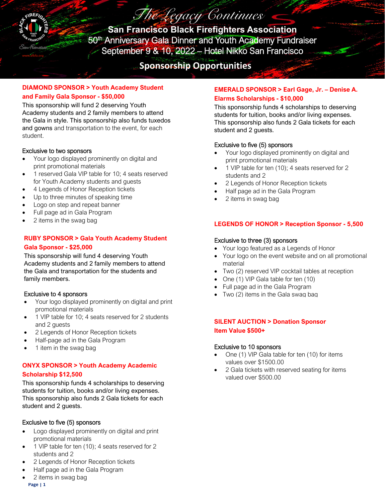

The Legacy Continues **San Francisco Black Firefighters Association** 50<sup>th</sup> Anniversary Gala Dinner and Youth Academy Fundraiser September 9 & 10, 2022 – Hotel Nikko San Francisco

**Sponsorship Opportunities**

#### **DIAMOND SPONSOR > Youth Academy Student and Family Gala Sponsor - \$50,000**

This sponsorship will fund 2 deserving Youth Academy students and 2 family members to attend the Gala in style. This sponsorship also funds tuxedos and gowns and transportation to the event, for each student.

#### Exclusive to two sponsors

- Your logo displayed prominently on digital and print promotional materials
- 1 reserved Gala VIP table for 10; 4 seats reserved for Youth Academy students and guests
- 4 Legends of Honor Reception tickets
- Up to three minutes of speaking time
- Logo on step and repeat banner
- Full page ad in Gala Program
- 2 items in the swag bag

#### **RUBY SPONSOR > Gala Youth Academy Student Gala Sponsor - \$25,000**

This sponsorship will fund 4 deserving Youth Academy students and 2 family members to attend the Gala and transportation for the students and family members.

#### Exclusive to 4 sponsors

- Your logo displayed prominently on digital and print promotional materials
- 1 VIP table for 10; 4 seats reserved for 2 students and 2 guests
- 2 Legends of Honor Reception tickets
- Half-page ad in the Gala Program
- 1 item in the swag bag

#### **ONYX SPONSOR > Youth Academy Academic Scholarship \$12,500**

This sponsorship funds 4 scholarships to deserving students for tuition, books and/or living expenses. This sponsorship also funds 2 Gala tickets for each student and 2 guests.

#### Exclusive to five (5) sponsors

- Logo displayed prominently on digital and print promotional materials
- 1 VIP table for ten (10); 4 seats reserved for 2 students and 2
- 2 Legends of Honor Reception tickets
- Half page ad in the Gala Program
- **Page | 1** • 2 items in swag bag

#### **EMERALD SPONSOR > Earl Gage, Jr. – Denise A. Elarms Scholarships - \$10,000**

This sponsorship funds 4 scholarships to deserving students for tuition, books and/or living expenses. This sponsorship also funds 2 Gala tickets for each student and 2 guests.

### Exclusive to five (5) sponsors

- Your logo displayed prominently on digital and print promotional materials
- 1 VIP table for ten (10); 4 seats reserved for 2 students and 2
- 2 Legends of Honor Reception tickets
- Half page ad in the Gala Program
- 2 items in swag bag

### **LEGENDS OF HONOR > Reception Sponsor - 5,500**

#### Exclusive to three (3) sponsors

- Your logo featured as a Legends of Honor
- Your logo on the event website and on all promotional material
- Two (2) reserved VIP cocktail tables at reception
- One (1) VIP Gala table for ten (10)
- Full page ad in the Gala Program
- Two (2) items in the Gala swag bag

#### **SILENT AUCTION > Donation Sponsor Item Value \$500+**

#### Exclusive to 10 sponsors

- One (1) VIP Gala table for ten (10) for items values over \$1500.00
- 2 Gala tickets with reserved seating for items valued over \$500.00